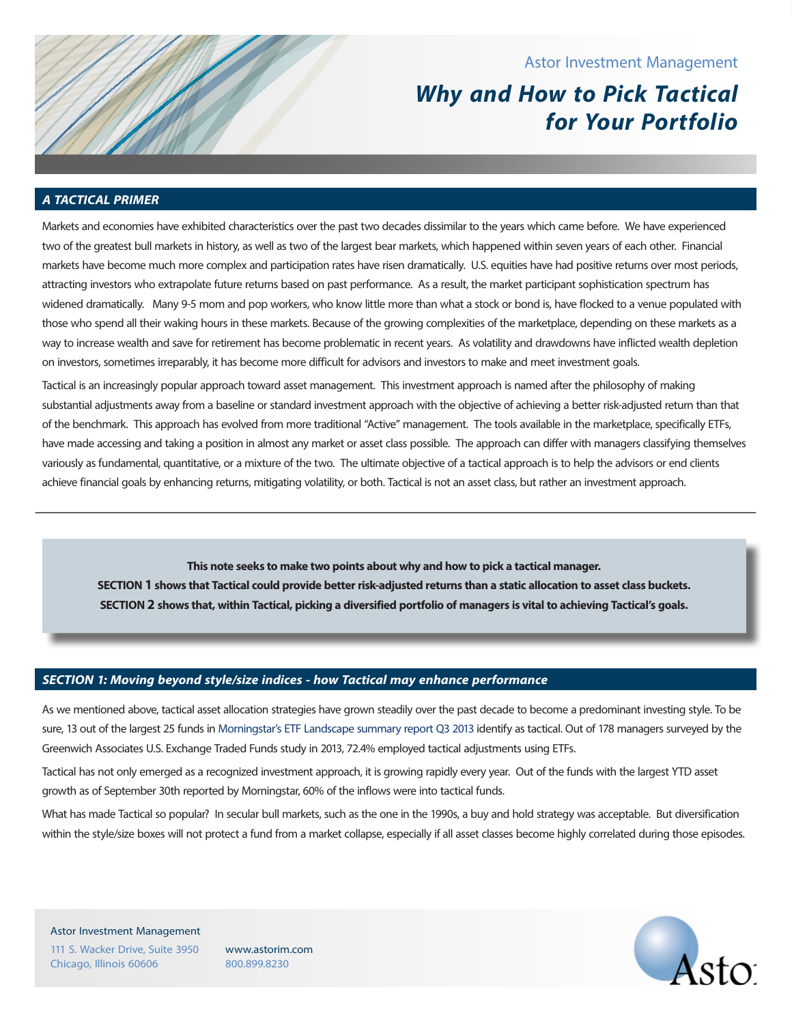# Astor Investment Management

# **Why and How to Pick Tactical for Your Portfolio**

## **A TACTICAL PRIMER**

Markets and economies have exhibited characteristics over the past two decades dissimilar to the years which came before. We have experienced two of the greatest bull markets in history, as well as two of the largest bear markets, which happened within seven years of each other. Financial markets have become much more complex and participation rates have risen dramatically. U.S. equities have had positive returns over most periods, attracting investors who extrapolate future returns based on past performance. As a result, the market participant sophistication spectrum has widened dramatically. Many 9-5 mom and pop workers, who know little more than what a stock or bond is, have flocked to a venue populated with those who spend all their waking hours in these markets. Because of the growing complexities of the marketplace, depending on these markets as a way to increase wealth and save for retirement has become problematic in recent years. As volatility and drawdowns have inflicted wealth depletion on investors, sometimes irreparably, it has become more difficult for advisors and investors to make and meet investment goals.

Tactical is an increasingly popular approach toward asset management. This investment approach is named after the philosophy of making substantial adjustments away from a baseline or standard investment approach with the objective of achieving a better risk-adjusted return than that of the benchmark. This approach has evolved from more traditional "Active" management. The tools available in the marketplace, specifically ETFs, have made accessing and taking a position in almost any market or asset class possible. The approach can differ with managers classifying themselves variously as fundamental, quantitative, or a mixture of the two. The ultimate objective of a tactical approach is to help the advisors or end clients achieve financial goals by enhancing returns, mitigating volatility, or both. Tactical is not an asset class, but rather an investment approach.

**This note seeks to make two points about why and how to pick a tactical manager. SECTION 1shows that Tactical could provide better risk-adjusted returns than a static allocation to asset class buckets. SECTION 2shows that, within Tactical, picking a diversified portfolio of managers is vital to achieving Tactical's goals.** 

#### **SECTION 1: Moving beyond style/size indices - how Tactical may enhance performance**

As we mentioned above, tactical asset allocation strategies have grown steadily over the past decade to become a predominant investing style. To be sure, 13 out of the largest 25 funds in Morningstar's ETF Landscape summary report Q3 2013 identify as tactical. Out of 178 managers surveyed by the Greenwich Associates U.S. Exchange Traded Funds study in 2013, 72.4% employed tactical adjustments using ETFs.

Tactical has not only emerged as a recognized investment approach, it is growing rapidly every year. Out of the funds with the largest YTD asset growth as of September 30th reported by Morningstar, 60% of the inflows were into tactical funds.

What has made Tactical so popular? In secular bull markets, such as the one in the 1990s, a buy and hold strategy was acceptable. But diversification within the style/size boxes will not protect a fund from a market collapse, especially if all asset classes become highly correlated during those episodes.

Astor Investment Management 111 S. Wacker Drive, Suite 3950 Chicago, Illinois 60606

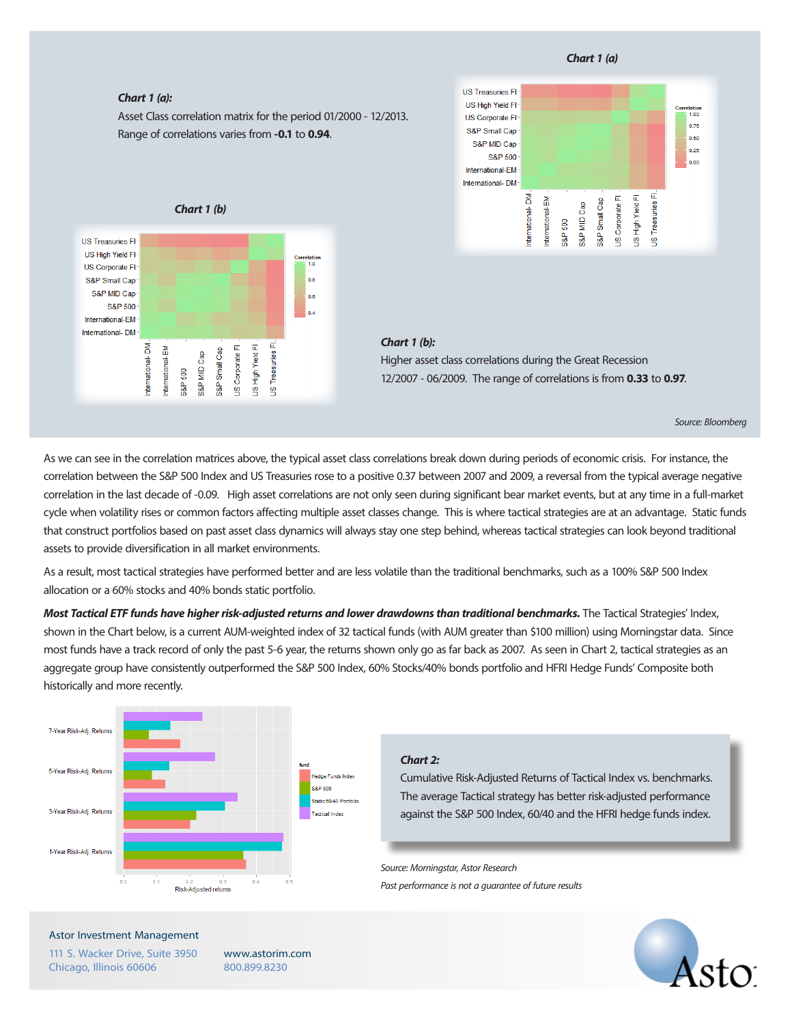#### **Chart 1 (a)**





#### **Chart 1 (b):**

Higher asset class correlations during the Great Recession 12/2007 - 06/2009. The range of correlations is from **0.33** to **0.97**.

Source: Bloomberg

As we can see in the correlation matrices above, the typical asset class correlations break down during periods of economic crisis. For instance, the correlation between the S&P 500 Index and US Treasuries rose to a positive 0.37 between 2007 and 2009, a reversal from the typical average negative correlation in the last decade of -0.09. High asset correlations are not only seen during significant bear market events, but at any time in a full-market cycle when volatility rises or common factors affecting multiple asset classes change. This is where tactical strategies are at an advantage. Static funds that construct portfolios based on past asset class dynamics will always stay one step behind, whereas tactical strategies can look beyond traditional assets to provide diversification in all market environments.

As a result, most tactical strategies have performed better and are less volatile than the traditional benchmarks, such as a 100% S&P 500 Index allocation or a 60% stocks and 40% bonds static portfolio.

**Most Tactical ETF funds have higher risk-adjusted returns and lower drawdowns than traditional benchmarks.** The Tactical Strategies' Index, shown in the Chart below, is a current AUM-weighted index of 32 tactical funds (with AUM greater than \$100 million) using Morningstar data. Since most funds have a track record of only the past 5-6 year, the returns shown only go as far back as 2007. As seen in Chart 2, tactical strategies as an aggregate group have consistently outperformed the S&P 500 Index, 60% Stocks/40% bonds portfolio and HFRI Hedge Funds' Composite both historically and more recently.



#### **Chart 2:**

Cumulative Risk-Adjusted Returns of Tactical Index vs. benchmarks. The average Tactical strategy has better risk-adjusted performance against the S&P 500 Index, 60/40 and the HFRI hedge funds index.

Source: Morningstar, Astor Research

Past performance is not a guarantee of future results



#### Astor Investment Management

111 S. Wacker Drive, Suite 3950 Chicago, Illinois 60606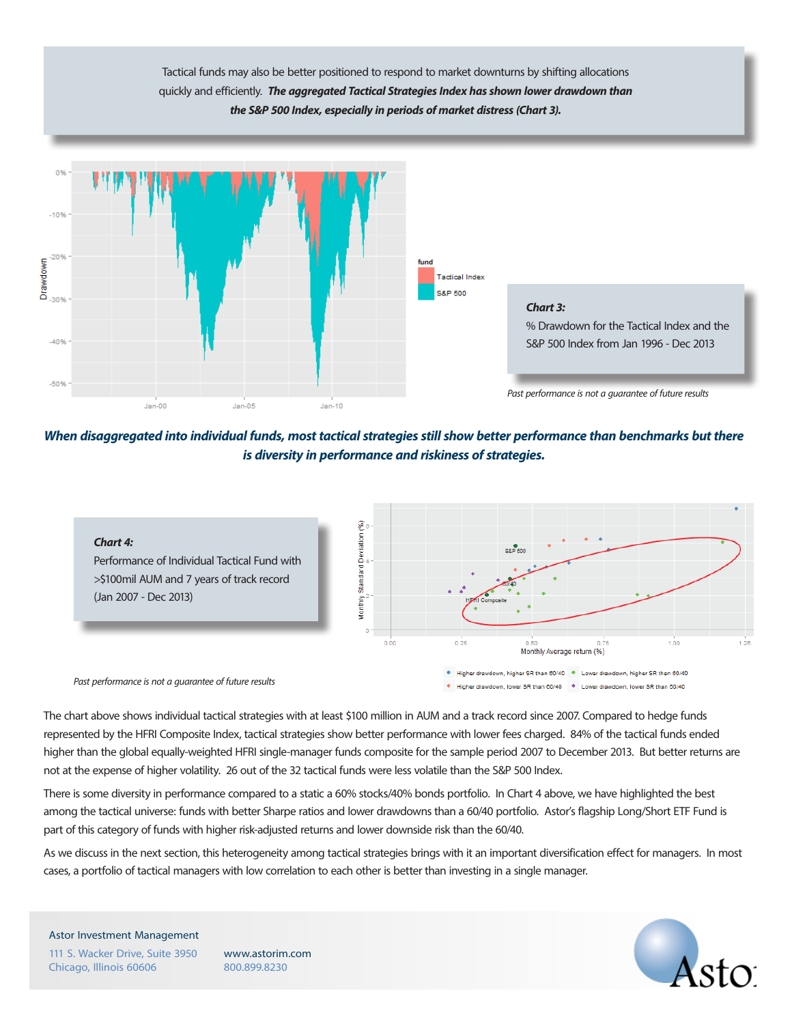Tactical funds may also be better positioned to respond to market downturns by shifting allocations quickly and efficiently. **The aggregated Tactical Strategies Index has shown lower drawdown than the S&P 500 Index, especially in periods of market distress (Chart 3).**



**When disaggregated into individual funds, most tactical strategies still show better performance than benchmarks but there is diversity in performance and riskiness of strategies.**



The chart above shows individual tactical strategies with at least \$100 million in AUM and a track record since 2007. Compared to hedge funds represented by the HFRI Composite Index, tactical strategies show better performance with lower fees charged. 84% of the tactical funds ended higher than the global equally-weighted HFRI single-manager funds composite for the sample period 2007 to December 2013. But better returns are not at the expense of higher volatility. 26 out of the 32 tactical funds were less volatile than the S&P 500 Index.

There is some diversity in performance compared to a static a 60% stocks/40% bonds portfolio. In Chart 4 above, we have highlighted the best among the tactical universe: funds with better Sharpe ratios and lower drawdowns than a 60/40 portfolio. Astor's flagship Long/Short ETF Fund is part of this category of funds with higher risk-adjusted returns and lower downside risk than the 60/40.

As we discuss in the next section, this heterogeneity among tactical strategies brings with it an important diversification effect for managers. In most cases, a portfolio of tactical managers with low correlation to each other is better than investing in a single manager.

Astor Investment Management 111 S. Wacker Drive, Suite 3950 Chicago, Illinois 60606

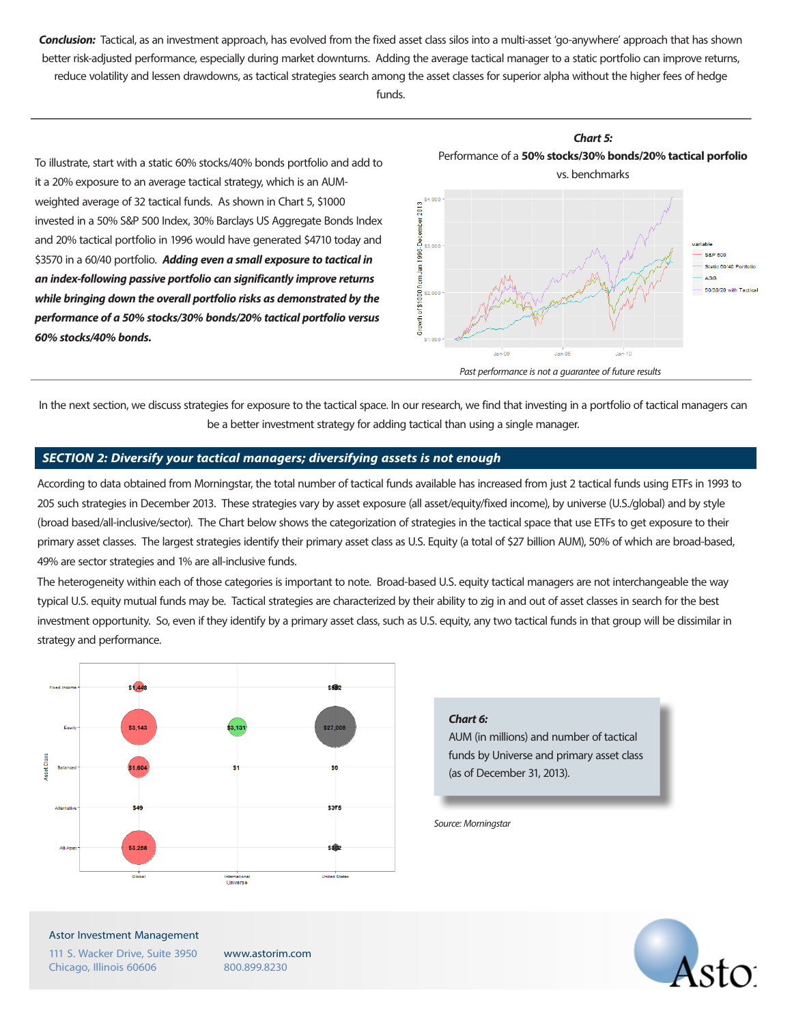**Conclusion:** Tactical, as an investment approach, has evolved from the fixed asset class silos into a multi-asset 'go-anywhere' approach that has shown better risk-adjusted performance, especially during market downturns. Adding the average tactical manager to a static portfolio can improve returns, reduce volatility and lessen drawdowns, as tactical strategies search among the asset classes for superior alpha without the higher fees of hedge

funds.

To illustrate, start with a static 60% stocks/40% bonds portfolio and add to it a 20% exposure to an average tactical strategy, which is an AUMweighted average of 32 tactical funds. As shown in Chart 5, \$1000 invested in a 50% S&P 500 Index, 30% Barclays US Aggregate Bonds Index and 20% tactical portfolio in 1996 would have generated \$4710 today and \$3570 in a 60/40 portfolio. **Adding even a small exposure to tactical in an index-following passive portfolio can significantly improve returns while bringing down the overall portfolio risks as demonstrated by the performance of a 50% stocks/30% bonds/20% tactical portfolio versus 60% stocks/40% bonds.**



In the next section, we discuss strategies for exposure to the tactical space. In our research, we find that investing in a portfolio of tactical managers can be a better investment strategy for adding tactical than using a single manager.

#### **SECTION 2: Diversify your tactical managers; diversifying assets is not enough**

According to data obtained from Morningstar, the total number of tactical funds available has increased from just 2 tactical funds using ETFs in 1993 to 205 such strategies in December 2013. These strategies vary by asset exposure (all asset/equity/fixed income), by universe (U.S./global) and by style (broad based/all-inclusive/sector). The Chart below shows the categorization of strategies in the tactical space that use ETFs to get exposure to their primary asset classes. The largest strategies identify their primary asset class as U.S. Equity (a total of \$27 billion AUM), 50% of which are broad-based, 49% are sector strategies and 1% are all-inclusive funds.

The heterogeneity within each of those categories is important to note. Broad-based U.S. equity tactical managers are not interchangeable the way typical U.S. equity mutual funds may be. Tactical strategies are characterized by their ability to zig in and out of asset classes in search for the best investment opportunity. So, even if they identify by a primary asset class, such as U.S. equity, any two tactical funds in that group will be dissimilar in strategy and performance.



### **Chart 6:**

AUM (in millions) and number of tactical funds by Universe and primary asset class (as of December 31, 2013).

Source: Morningstar



Astor Investment Management

111 S. Wacker Drive, Suite 3950 Chicago, Illinois 60606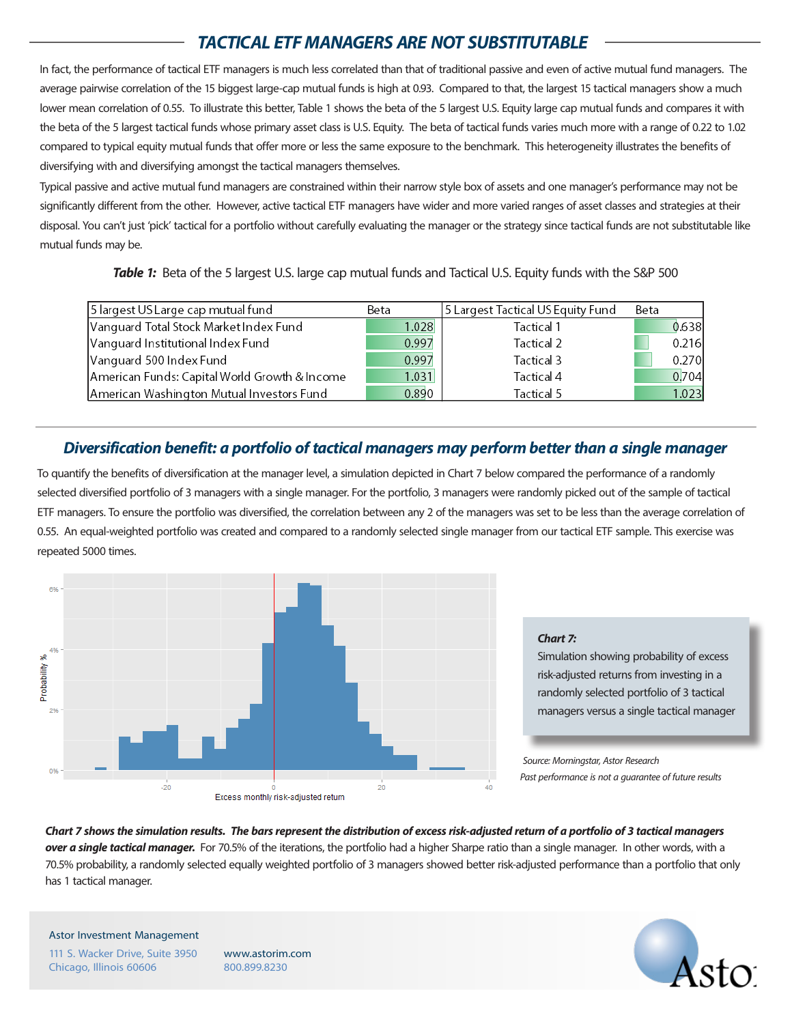# **TACTICAL ETF MANAGERS ARE NOT SUBSTITUTABLE**

In fact, the performance of tactical ETF managers is much less correlated than that of traditional passive and even of active mutual fund managers. The average pairwise correlation of the 15 biggest large-cap mutual funds is high at 0.93. Compared to that, the largest 15 tactical managers show a much lower mean correlation of 0.55. To illustrate this better, Table 1 shows the beta of the 5 largest U.S. Equity large cap mutual funds and compares it with the beta of the 5 largest tactical funds whose primary asset class is U.S. Equity. The beta of tactical funds varies much more with a range of 0.22 to 1.02 compared to typical equity mutual funds that offer more or less the same exposure to the benchmark. This heterogeneity illustrates the benefits of diversifying with and diversifying amongst the tactical managers themselves.

Typical passive and active mutual fund managers are constrained within their narrow style box of assets and one manager's performance may not be significantly different from the other. However, active tactical ETF managers have wider and more varied ranges of asset classes and strategies at their disposal. You can't just 'pick' tactical for a portfolio without carefully evaluating the manager or the strategy since tactical funds are not substitutable like mutual funds may be.

**Table 1:** Beta of the 5 largest U.S. large cap mutual funds and Tactical U.S. Equity funds with the S&P 500

| 5 largest US Large cap mutual fund            | Beta  | 5 Largest Tactical US Equity Fund | Beta |       |
|-----------------------------------------------|-------|-----------------------------------|------|-------|
| Vanguard Total Stock Market Index Fund        | 1.028 | Tactical 1                        |      | 0.638 |
| Vanguard Institutional Index Fund             | 0.997 | Tactical 2                        |      | 0.216 |
| Vanguard 500 Index Fund                       | 0.997 | Tactical 3                        |      | 0.270 |
| American Funds: Capital World Growth & Income | 1.031 | Tactical 4                        |      | 0,704 |
| American Washington Mutual Investors Fund     | 0.890 | Tactical 5                        |      | 1.023 |

# **Diversification benefit: a portfolio of tactical managers may perform better than a single manager**

To quantify the benefits of diversification at the manager level, a simulation depicted in Chart 7 below compared the performance of a randomly selected diversified portfolio of 3 managers with a single manager. For the portfolio, 3 managers were randomly picked out of the sample of tactical ETF managers. To ensure the portfolio was diversified, the correlation between any 2 of the managers was set to be less than the average correlation of 0.55. An equal-weighted portfolio was created and compared to a randomly selected single manager from our tactical ETF sample. This exercise was repeated 5000 times.



# **Chart 7:**

Simulation showing probability of excess risk-adjusted returns from investing in a randomly selected portfolio of 3 tactical managers versus a single tactical manager

Source: Morningstar, Astor Research Past performance is not a guarantee of future results

**Chart 7 shows the simulation results. The bars represent the distribution of excess risk-adjusted return of a portfolio of 3 tactical managers over a single tactical manager.** For 70.5% of the iterations, the portfolio had a higher Sharpe ratio than a single manager. In other words, with a 70.5% probability, a randomly selected equally weighted portfolio of 3 managers showed better risk-adjusted performance than a portfolio that only has 1 tactical manager.

Astor Investment Management 111 S. Wacker Drive, Suite 3950 Chicago, Illinois 60606